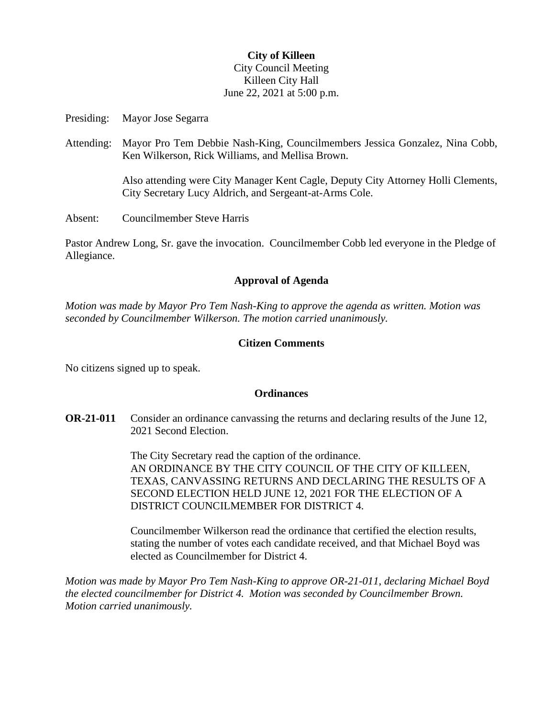# **City of Killeen** City Council Meeting Killeen City Hall June 22, 2021 at 5:00 p.m.

Presiding: Mayor Jose Segarra

Attending: Mayor Pro Tem Debbie Nash-King, Councilmembers Jessica Gonzalez, Nina Cobb, Ken Wilkerson, Rick Williams, and Mellisa Brown.

> Also attending were City Manager Kent Cagle, Deputy City Attorney Holli Clements, City Secretary Lucy Aldrich, and Sergeant-at-Arms Cole.

Absent: Councilmember Steve Harris

Pastor Andrew Long, Sr. gave the invocation. Councilmember Cobb led everyone in the Pledge of Allegiance.

## **Approval of Agenda**

*Motion was made by Mayor Pro Tem Nash-King to approve the agenda as written. Motion was seconded by Councilmember Wilkerson. The motion carried unanimously.*

## **Citizen Comments**

No citizens signed up to speak.

### **Ordinances**

**OR-21-011** Consider an ordinance canvassing the returns and declaring results of the June 12, 2021 Second Election.

> The City Secretary read the caption of the ordinance. AN ORDINANCE BY THE CITY COUNCIL OF THE CITY OF KILLEEN, TEXAS, CANVASSING RETURNS AND DECLARING THE RESULTS OF A SECOND ELECTION HELD JUNE 12, 2021 FOR THE ELECTION OF A DISTRICT COUNCILMEMBER FOR DISTRICT 4.

Councilmember Wilkerson read the ordinance that certified the election results, stating the number of votes each candidate received, and that Michael Boyd was elected as Councilmember for District 4.

*Motion was made by Mayor Pro Tem Nash-King to approve OR-21-011, declaring Michael Boyd the elected councilmember for District 4. Motion was seconded by Councilmember Brown. Motion carried unanimously.*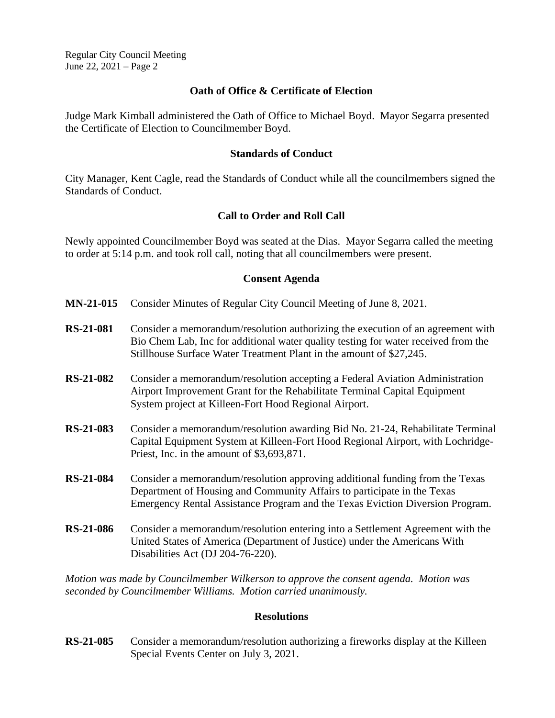Regular City Council Meeting June 22, 2021 – Page 2

#### **Oath of Office & Certificate of Election**

Judge Mark Kimball administered the Oath of Office to Michael Boyd. Mayor Segarra presented the Certificate of Election to Councilmember Boyd.

#### **Standards of Conduct**

City Manager, Kent Cagle, read the Standards of Conduct while all the councilmembers signed the Standards of Conduct.

### **Call to Order and Roll Call**

Newly appointed Councilmember Boyd was seated at the Dias. Mayor Segarra called the meeting to order at 5:14 p.m. and took roll call, noting that all councilmembers were present.

### **Consent Agenda**

- **MN-21-015** Consider Minutes of Regular City Council Meeting of June 8, 2021.
- **RS-21-081** Consider a memorandum/resolution authorizing the execution of an agreement with Bio Chem Lab, Inc for additional water quality testing for water received from the Stillhouse Surface Water Treatment Plant in the amount of \$27,245.
- **RS-21-082** Consider a memorandum/resolution accepting a Federal Aviation Administration Airport Improvement Grant for the Rehabilitate Terminal Capital Equipment System project at Killeen-Fort Hood Regional Airport.
- **RS-21-083** Consider a memorandum/resolution awarding Bid No. 21-24, Rehabilitate Terminal Capital Equipment System at Killeen-Fort Hood Regional Airport, with Lochridge-Priest, Inc. in the amount of \$3,693,871.
- **RS-21-084** Consider a memorandum/resolution approving additional funding from the Texas Department of Housing and Community Affairs to participate in the Texas Emergency Rental Assistance Program and the Texas Eviction Diversion Program.
- **RS-21-086** Consider a memorandum/resolution entering into a Settlement Agreement with the United States of America (Department of Justice) under the Americans With Disabilities Act (DJ 204-76-220).

*Motion was made by Councilmember Wilkerson to approve the consent agenda. Motion was seconded by Councilmember Williams. Motion carried unanimously.*

#### **Resolutions**

**RS-21-085** Consider a memorandum/resolution authorizing a fireworks display at the Killeen Special Events Center on July 3, 2021.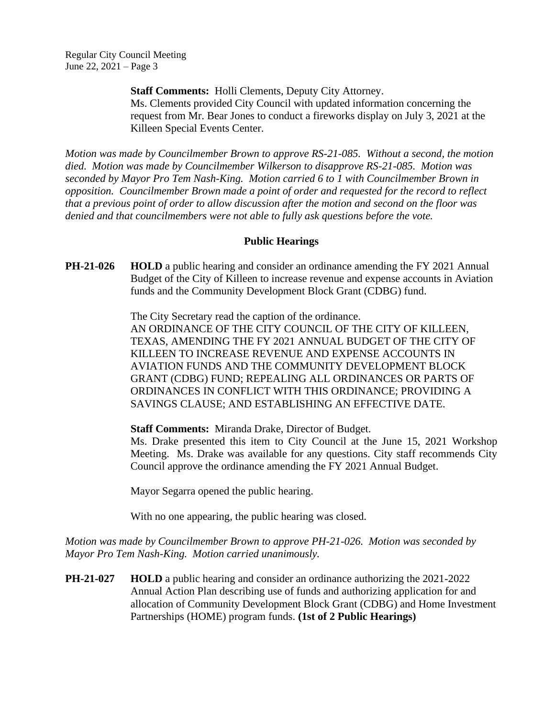**Staff Comments:** Holli Clements, Deputy City Attorney. Ms. Clements provided City Council with updated information concerning the request from Mr. Bear Jones to conduct a fireworks display on July 3, 2021 at the Killeen Special Events Center.

*Motion was made by Councilmember Brown to approve RS-21-085. Without a second, the motion died. Motion was made by Councilmember Wilkerson to disapprove RS-21-085. Motion was seconded by Mayor Pro Tem Nash-King. Motion carried 6 to 1 with Councilmember Brown in opposition. Councilmember Brown made a point of order and requested for the record to reflect that a previous point of order to allow discussion after the motion and second on the floor was denied and that councilmembers were not able to fully ask questions before the vote.* 

## **Public Hearings**

**PH-21-026 HOLD** a public hearing and consider an ordinance amending the FY 2021 Annual Budget of the City of Killeen to increase revenue and expense accounts in Aviation funds and the Community Development Block Grant (CDBG) fund.

> The City Secretary read the caption of the ordinance. AN ORDINANCE OF THE CITY COUNCIL OF THE CITY OF KILLEEN, TEXAS, AMENDING THE FY 2021 ANNUAL BUDGET OF THE CITY OF KILLEEN TO INCREASE REVENUE AND EXPENSE ACCOUNTS IN AVIATION FUNDS AND THE COMMUNITY DEVELOPMENT BLOCK GRANT (CDBG) FUND; REPEALING ALL ORDINANCES OR PARTS OF ORDINANCES IN CONFLICT WITH THIS ORDINANCE; PROVIDING A SAVINGS CLAUSE; AND ESTABLISHING AN EFFECTIVE DATE.

### **Staff Comments:** Miranda Drake, Director of Budget.

Ms. Drake presented this item to City Council at the June 15, 2021 Workshop Meeting. Ms. Drake was available for any questions. City staff recommends City Council approve the ordinance amending the FY 2021 Annual Budget.

Mayor Segarra opened the public hearing.

With no one appearing, the public hearing was closed.

*Motion was made by Councilmember Brown to approve PH-21-026. Motion was seconded by Mayor Pro Tem Nash-King. Motion carried unanimously.*

**PH-21-027 HOLD** a public hearing and consider an ordinance authorizing the 2021-2022 Annual Action Plan describing use of funds and authorizing application for and allocation of Community Development Block Grant (CDBG) and Home Investment Partnerships (HOME) program funds. **(1st of 2 Public Hearings)**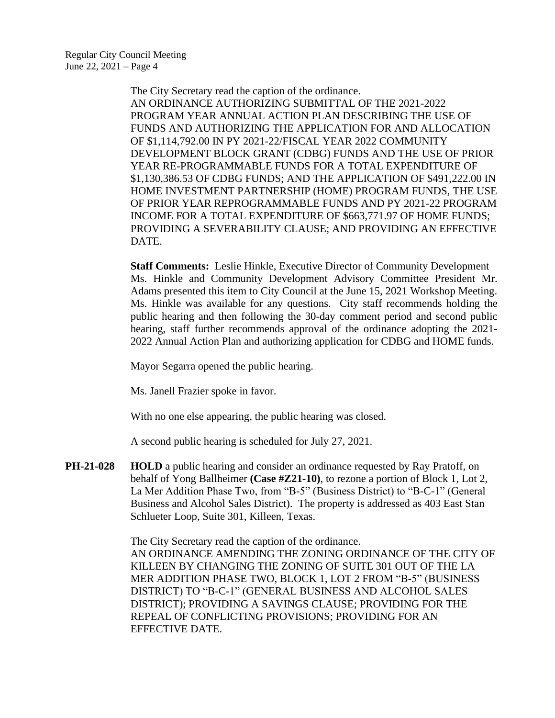The City Secretary read the caption of the ordinance. AN ORDINANCE AUTHORIZING SUBMITTAL OF THE 2021-2022 PROGRAM YEAR ANNUAL ACTION PLAN DESCRIBING THE USE OF FUNDS AND AUTHORIZING THE APPLICATION FOR AND ALLOCATION OF \$1,114,792.00 IN PY 2021-22/FISCAL YEAR 2022 COMMUNITY DEVELOPMENT BLOCK GRANT (CDBG) FUNDS AND THE USE OF PRIOR YEAR RE-PROGRAMMABLE FUNDS FOR A TOTAL EXPENDITURE OF \$1,130,386.53 OF CDBG FUNDS; AND THE APPLICATION OF \$491,222.00 IN HOME INVESTMENT PARTNERSHIP (HOME) PROGRAM FUNDS, THE USE OF PRIOR YEAR REPROGRAMMABLE FUNDS AND PY 2021-22 PROGRAM INCOME FOR A TOTAL EXPENDITURE OF \$663,771.97 OF HOME FUNDS; PROVIDING A SEVERABILITY CLAUSE; AND PROVIDING AN EFFECTIVE DATE.

**Staff Comments:** Leslie Hinkle, Executive Director of Community Development Ms. Hinkle and Community Development Advisory Committee President Mr. Adams presented this item to City Council at the June 15, 2021 Workshop Meeting. Ms. Hinkle was available for any questions. City staff recommends holding the public hearing and then following the 30-day comment period and second public hearing, staff further recommends approval of the ordinance adopting the 2021- 2022 Annual Action Plan and authorizing application for CDBG and HOME funds.

Mayor Segarra opened the public hearing.

Ms. Janell Frazier spoke in favor.

With no one else appearing, the public hearing was closed.

A second public hearing is scheduled for July 27, 2021.

**PH-21-028 HOLD** a public hearing and consider an ordinance requested by Ray Pratoff, on behalf of Yong Ballheimer **(Case #Z21-10)**, to rezone a portion of Block 1, Lot 2, La Mer Addition Phase Two, from "B-5" (Business District) to "B-C-1" (General Business and Alcohol Sales District). The property is addressed as 403 East Stan Schlueter Loop, Suite 301, Killeen, Texas.

> The City Secretary read the caption of the ordinance. AN ORDINANCE AMENDING THE ZONING ORDINANCE OF THE CITY OF KILLEEN BY CHANGING THE ZONING OF SUITE 301 OUT OF THE LA MER ADDITION PHASE TWO, BLOCK 1, LOT 2 FROM "B-5" (BUSINESS DISTRICT) TO "B-C-1" (GENERAL BUSINESS AND ALCOHOL SALES DISTRICT); PROVIDING A SAVINGS CLAUSE; PROVIDING FOR THE REPEAL OF CONFLICTING PROVISIONS; PROVIDING FOR AN EFFECTIVE DATE.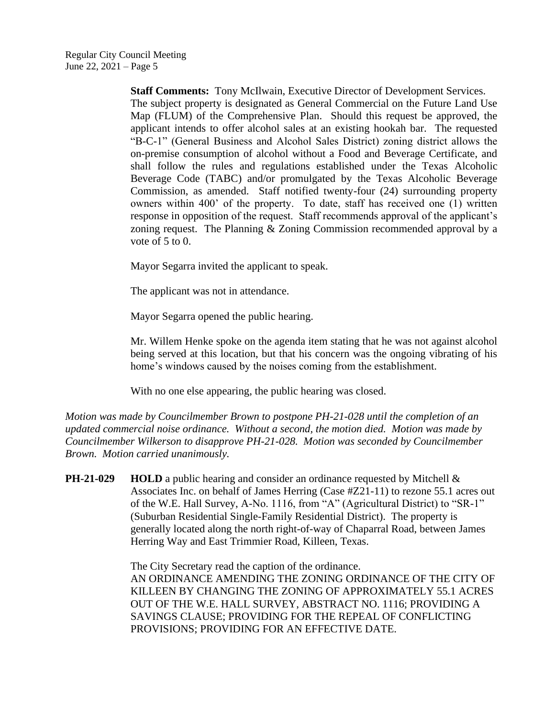**Staff Comments:** Tony McIlwain, Executive Director of Development Services. The subject property is designated as General Commercial on the Future Land Use Map (FLUM) of the Comprehensive Plan. Should this request be approved, the applicant intends to offer alcohol sales at an existing hookah bar. The requested "B-C-1" (General Business and Alcohol Sales District) zoning district allows the on-premise consumption of alcohol without a Food and Beverage Certificate, and shall follow the rules and regulations established under the Texas Alcoholic Beverage Code (TABC) and/or promulgated by the Texas Alcoholic Beverage Commission, as amended. Staff notified twenty-four (24) surrounding property owners within 400' of the property. To date, staff has received one (1) written response in opposition of the request. Staff recommends approval of the applicant's zoning request. The Planning & Zoning Commission recommended approval by a vote of 5 to 0.

Mayor Segarra invited the applicant to speak.

The applicant was not in attendance.

Mayor Segarra opened the public hearing.

Mr. Willem Henke spoke on the agenda item stating that he was not against alcohol being served at this location, but that his concern was the ongoing vibrating of his home's windows caused by the noises coming from the establishment.

With no one else appearing, the public hearing was closed.

*Motion was made by Councilmember Brown to postpone PH-21-028 until the completion of an updated commercial noise ordinance. Without a second, the motion died. Motion was made by Councilmember Wilkerson to disapprove PH-21-028. Motion was seconded by Councilmember Brown. Motion carried unanimously.*

**PH-21-029 HOLD** a public hearing and consider an ordinance requested by Mitchell & Associates Inc. on behalf of James Herring (Case #Z21-11) to rezone 55.1 acres out of the W.E. Hall Survey, A-No. 1116, from "A" (Agricultural District) to "SR-1" (Suburban Residential Single-Family Residential District). The property is generally located along the north right-of-way of Chaparral Road, between James Herring Way and East Trimmier Road, Killeen, Texas.

> The City Secretary read the caption of the ordinance. AN ORDINANCE AMENDING THE ZONING ORDINANCE OF THE CITY OF KILLEEN BY CHANGING THE ZONING OF APPROXIMATELY 55.1 ACRES OUT OF THE W.E. HALL SURVEY, ABSTRACT NO. 1116; PROVIDING A SAVINGS CLAUSE; PROVIDING FOR THE REPEAL OF CONFLICTING PROVISIONS; PROVIDING FOR AN EFFECTIVE DATE.